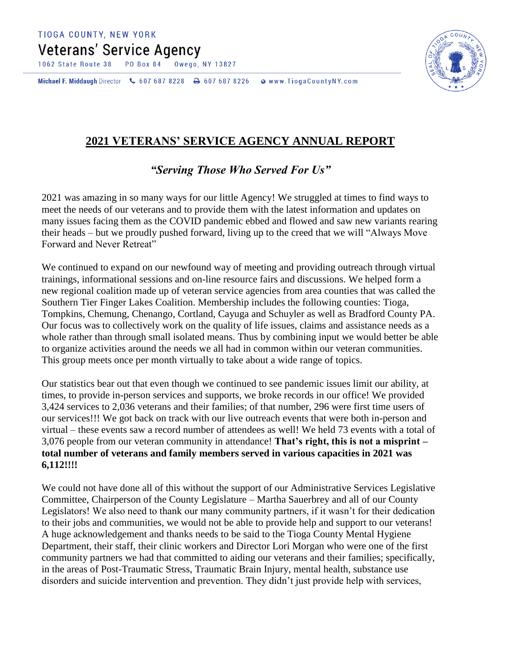**Veterans' Service Agency** 

**PO Box 84** Owego, NY 13827 1062 State Route 38

Michael F. Middaugh Director \607 687 8228 \ 607 687 8226 **WWW.TiogaCountyNY.com** 



## **2021 VETERANS' SERVICE AGENCY ANNUAL REPORT**

## *"Serving Those Who Served For Us"*

2021 was amazing in so many ways for our little Agency! We struggled at times to find ways to meet the needs of our veterans and to provide them with the latest information and updates on many issues facing them as the COVID pandemic ebbed and flowed and saw new variants rearing their heads – but we proudly pushed forward, living up to the creed that we will "Always Move Forward and Never Retreat"

We continued to expand on our newfound way of meeting and providing outreach through virtual trainings, informational sessions and on-line resource fairs and discussions. We helped form a new regional coalition made up of veteran service agencies from area counties that was called the Southern Tier Finger Lakes Coalition. Membership includes the following counties: Tioga, Tompkins, Chemung, Chenango, Cortland, Cayuga and Schuyler as well as Bradford County PA. Our focus was to collectively work on the quality of life issues, claims and assistance needs as a whole rather than through small isolated means. Thus by combining input we would better be able to organize activities around the needs we all had in common within our veteran communities. This group meets once per month virtually to take about a wide range of topics.

Our statistics bear out that even though we continued to see pandemic issues limit our ability, at times, to provide in-person services and supports, we broke records in our office! We provided 3,424 services to 2,036 veterans and their families; of that number, 296 were first time users of our services!!! We got back on track with our live outreach events that were both in-person and virtual – these events saw a record number of attendees as well! We held 73 events with a total of 3,076 people from our veteran community in attendance! **That's right, this is not a misprint – total number of veterans and family members served in various capacities in 2021 was 6,112!!!!**

We could not have done all of this without the support of our Administrative Services Legislative Committee, Chairperson of the County Legislature – Martha Sauerbrey and all of our County Legislators! We also need to thank our many community partners, if it wasn't for their dedication to their jobs and communities, we would not be able to provide help and support to our veterans! A huge acknowledgement and thanks needs to be said to the Tioga County Mental Hygiene Department, their staff, their clinic workers and Director Lori Morgan who were one of the first community partners we had that committed to aiding our veterans and their families; specifically, in the areas of Post-Traumatic Stress, Traumatic Brain Injury, mental health, substance use disorders and suicide intervention and prevention. They didn't just provide help with services,